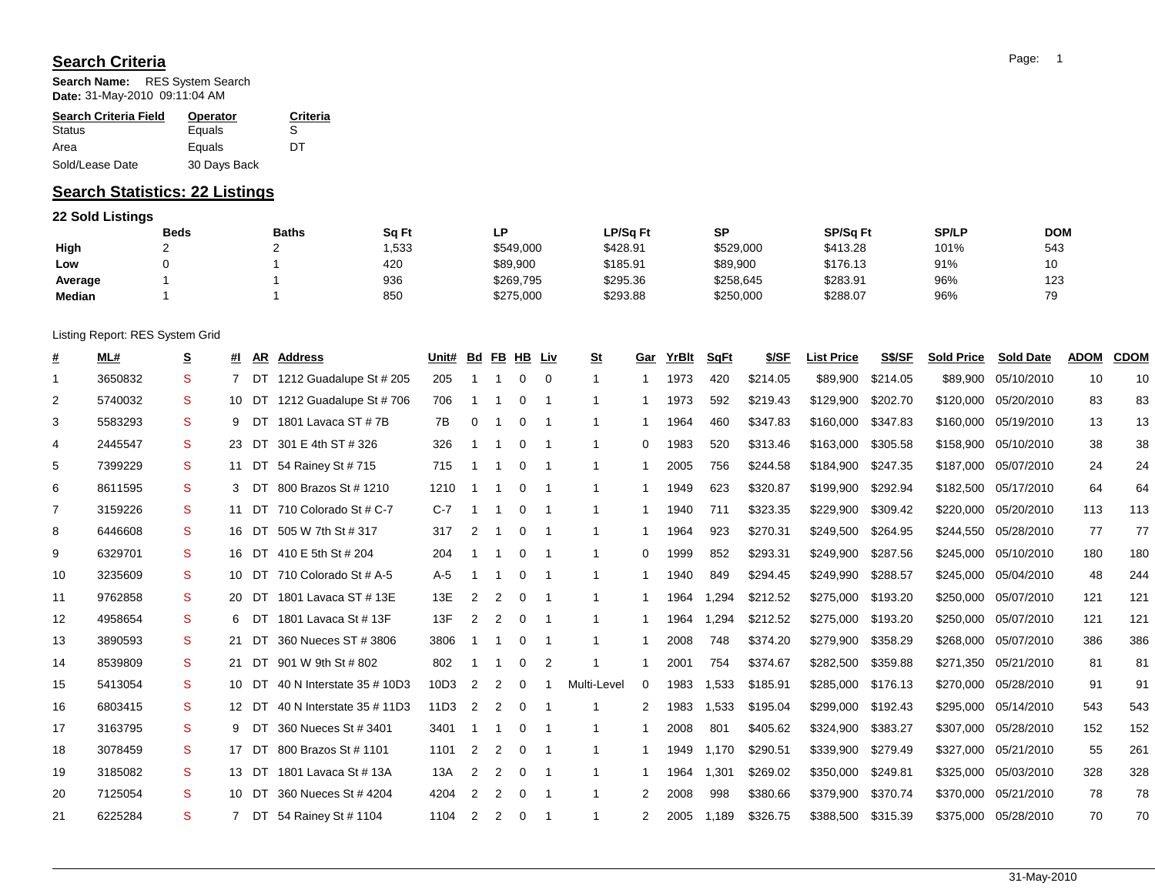## **Search Criteria**

**Search Name:** RES System Search **Date:** 31-May-2010 09:11:04 AM

| <b>Search Criteria Field</b> | <b>Operator</b> | Criteria |
|------------------------------|-----------------|----------|
| Status                       | Equals          | S        |
| Area                         | Equals          | nт       |
| Sold/Lease Date              | 30 Days Back    |          |

## **Search Statistics: 22 Listings**

## **22 Sold Listings**

|         | <b>Beds</b> | <b>Baths</b> | Sq Ft | P         | LP/Sq Ft | SP        | <b>SP/Sq Ft</b> | <b>SP/LP</b> | <b>DOM</b> |
|---------|-------------|--------------|-------|-----------|----------|-----------|-----------------|--------------|------------|
| High    |             |              | ,533  | \$549,000 | \$428.91 | \$529,000 | \$413.28        | 101%         | 543        |
| Low     |             |              | 420   | \$89,900  | \$185.91 | \$89,900  | \$176.13        | 91%          | 10         |
| Average |             |              | 936   | \$269,795 | \$295.36 | \$258,645 | \$283.91        | 96%          | 123        |
| Median  |             |              | 850   | \$275,000 | \$293.88 | \$250,000 | \$288.07        | 96%          | 70         |

Listing Report: RES System Grid

| #              | ML#     | <u>s</u>     | #I |       | AR Address                  | Unit# | <u>Bd</u>      |                | FB HB Liv |             | <u>St</u>    | Gar      | YrBIt | SqFt  | \$/SF    | <b>List Price</b> | S\$/SF   | <b>Sold Price</b> | <b>Sold Date</b> | <b>ADOM</b> | <b>CDOM</b> |
|----------------|---------|--------------|----|-------|-----------------------------|-------|----------------|----------------|-----------|-------------|--------------|----------|-------|-------|----------|-------------------|----------|-------------------|------------------|-------------|-------------|
| $\mathbf{1}$   | 3650832 | S            |    | DT    | 1212 Guadalupe St # 205     | 205   |                |                | 0         | $\mathbf 0$ | $\mathbf{1}$ |          | 1973  | 420   | \$214.05 | \$89,900          | \$214.05 | \$89,900          | 05/10/2010       | 10          | 10          |
| 2              | 5740032 | S            |    | 10 DT | 1212 Guadalupe St # 706     | 706   | -1             |                | $\Omega$  |             | 1            |          | 1973  | 592   | \$219.43 | \$129,900         | \$202.70 | \$120,000         | 05/20/2010       | 83          | 83          |
| 3              | 5583293 | S            |    | 9 DT  | 1801 Lavaca ST # 7B         | 7B    | 0              |                | 0         |             |              |          | 1964  | 460   | \$347.83 | \$160,000         | \$347.83 | \$160,000         | 05/19/2010       | 13          | 13          |
| 4              | 2445547 | S            |    | DT    | 301 E 4th ST # 326          | 326   |                |                | $\Omega$  |             | $\mathbf 1$  | 0        | 1983  | 520   | \$313.46 | \$163,000         | \$305.58 | \$158,900         | 05/10/2010       | 38          | 38          |
| 5              | 7399229 | S            |    |       | 11 DT 54 Rainey St # 715    | 715   | -1             |                | $\Omega$  | - 1         | 1            |          | 2005  | 756   | \$244.58 | \$184,900         | \$247.35 | \$187,000         | 05/07/2010       | 24          | 24          |
| 6              | 8611595 | S            | 3  | DT    | 800 Brazos St # 1210        | 1210  | -1             |                | $\Omega$  |             | 1            |          | 1949  | 623   | \$320.87 | \$199.900         | \$292.94 | \$182,500         | 05/17/2010       | 64          | 64          |
| $\overline{7}$ | 3159226 | S            |    |       | 11 DT 710 Colorado St # C-7 | $C-7$ | -1             | -1             | $\Omega$  |             | $\mathbf{1}$ |          | 1940  | 711   | \$323.35 | \$229,900         | \$309.42 | \$220,000         | 05/20/2010       | 113         | 113         |
| 8              | 6446608 | S            |    | 16 DT | 505 W 7th St # 317          | 317   | $\overline{2}$ |                | 0         |             |              |          | 1964  | 923   | \$270.31 | \$249,500         | \$264.95 | \$244,550         | 05/28/2010       | 77          | 77          |
| 9              | 6329701 | S            |    |       | 16 DT 410 E 5th St # 204    | 204   |                |                | 0         | - 1         | 1            | 0        | 1999  | 852   | \$293.31 | \$249.900         | \$287.56 | \$245,000         | 05/10/2010       | 180         | 180         |
| 10             | 3235609 | S            |    |       | 10 DT 710 Colorado St # A-5 | $A-5$ |                |                | $\Omega$  |             | 1            |          | 1940  | 849   | \$294.45 | \$249,990         | \$288.57 | \$245,000         | 05/04/2010       | 48          | 244         |
| 11             | 9762858 | <sub>S</sub> |    | 20 DT | 1801 Lavaca ST # 13E        | 13E   | $\overline{2}$ | 2              | $\Omega$  |             | 1            |          | 1964  | .294  | \$212.52 | \$275,000         | \$193.20 | \$250,000         | 05/07/2010       | 121         | 121         |
| 12             | 4958654 | S            | 6  | DT    | 1801 Lavaca St # 13F        | 13F   | $\overline{2}$ | $\overline{2}$ | 0         | - 1         | -1           |          | 1964  | .294  | \$212.52 | \$275.000         | \$193.20 | \$250,000         | 05/07/2010       | 121         | 121         |
| 13             | 3890593 | S            | 21 | DT    | 360 Nueces ST # 3806        | 3806  |                |                |           |             |              |          | 2008  | 748   | \$374.20 | \$279,900         | \$358.29 | \$268,000         | 05/07/2010       | 386         | 386         |
| 14             | 8539809 | S            | 21 | DT    | 901 W 9th St # 802          | 802   |                |                | 0         | 2           |              |          | 2001  | 754   | \$374.67 | \$282,500         | \$359.88 | \$271,350         | 05/21/2010       | 81          | 81          |
| 15             | 5413054 | S            |    | 10 DT | 40 N Interstate 35 # 10D3   | 10D3  | 2              | 2              | 0         |             | Multi-Level  | $\Omega$ | 1983  | 1,533 | \$185.91 | \$285,000         | \$176.13 | \$270,000         | 05/28/2010       | 91          | 91          |
| 16             | 6803415 | S.           |    | 12 DT | 40 N Interstate 35 # 11D3   | 11D3  | 2              | 2              | $\Omega$  |             | 1            | 2        | 1983  | 1,533 | \$195.04 | \$299,000         | \$192.43 | \$295,000         | 05/14/2010       | 543         | 543         |
| 17             | 3163795 | S            | 9  | DT    | 360 Nueces St # 3401        | 3401  | -1             |                | 0         |             | -1           |          | 2008  | 801   | \$405.62 | \$324,900         | \$383.27 | \$307,000         | 05/28/2010       | 152         | 152         |
| 18             | 3078459 | S            |    | 17 DT | 800 Brazos St # 1101        | 1101  | 2              | 2              | 0         |             |              |          | 1949  | 1,170 | \$290.51 | \$339.900         | \$279.49 | \$327,000         | 05/21/2010       | 55          | 261         |
| 19             | 3185082 | S            |    | 13 DT | 1801 Lavaca St # 13A        | 13A   | $\overline{2}$ | $\overline{2}$ | 0         |             | $\mathbf{1}$ |          | 1964  | 1,301 | \$269.02 | \$350,000         | \$249.81 | \$325,000         | 05/03/2010       | 328         | 328         |
| 20             | 7125054 | S            |    | 10 DT | 360 Nueces St # 4204        | 4204  | $\overline{2}$ | 2              | $\Omega$  | - 1         | 1            | 2        | 2008  | 998   | \$380.66 | \$379,900         | \$370.74 | \$370,000         | 05/21/2010       | 78          | 78          |
| 21             | 6225284 | S            |    |       | DT 54 Rainey St # 1104      | 1104  | 2              | 2              | $\Omega$  |             |              |          | 2005  | l.189 | \$326.75 | \$388,500         | \$315.39 | \$375,000         | 05/28/2010       | 70          | 70          |
|                |         |              |    |       |                             |       |                |                |           |             |              |          |       |       |          |                   |          |                   |                  |             |             |